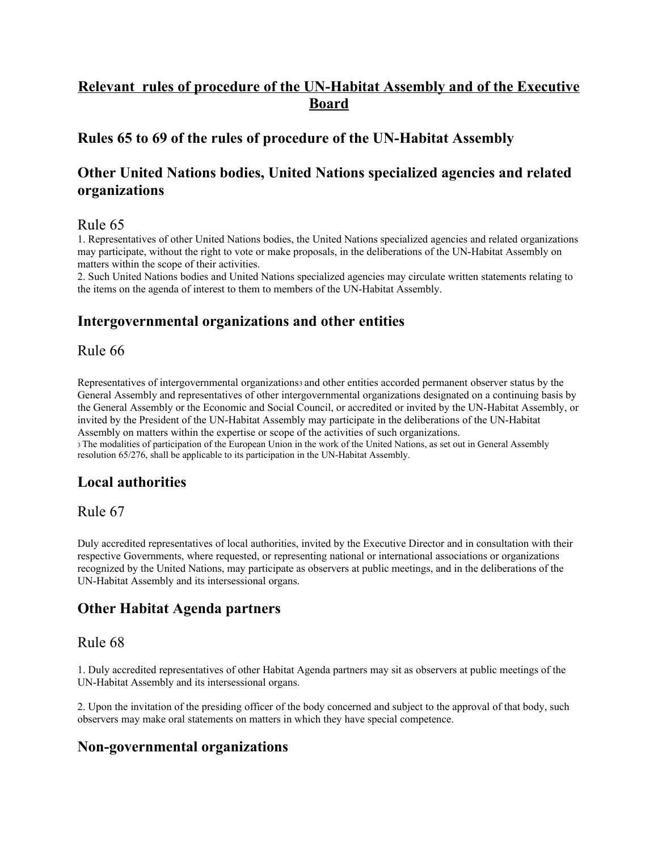# **Relevant rules of procedure of the UN-Habitat Assembly and of the Executive Board**

### **Rules 65 to 69 of the rules of procedure of the UN-Habitat Assembly**

## **Other United Nations bodies, United Nations specialized agencies and related organizations**

### Rule 65

1. Representatives of other United Nations bodies, the United Nations specialized agencies and related organizations may participate, without the right to vote or make proposals, in the deliberations of the UN-Habitat Assembly on matters within the scope of their activities.

2. Such United Nations bodies and United Nations specialized agencies may circulate written statements relating to the items on the agenda of interest to them to members of the UN-Habitat Assembly.

## **Intergovernmental organizations and other entities**

### Rule 66

Representatives of intergovernmental organizations3 and other entities accorded permanent observer status by the General Assembly and representatives of other intergovernmental organizations designated on a continuing basis by the General Assembly or the Economic and Social Council, or accredited or invited by the UN-Habitat Assembly, or invited by the President of the UN-Habitat Assembly may participate in the deliberations of the UN-Habitat Assembly on matters within the expertise or scope of the activities of such organizations.

<sup>3</sup>The modalities of participation of the European Union in the work of the United Nations, as set out in General Assembly resolution 65/276, shall be applicable to its participation in the UN-Habitat Assembly.

## **Local authorities**

#### Rule 67

Duly accredited representatives of local authorities, invited by the Executive Director and in consultation with their respective Governments, where requested, or representing national or international associations or organizations recognized by the United Nations, may participate as observers at public meetings, and in the deliberations of the UN-Habitat Assembly and its intersessional organs.

## **Other Habitat Agenda partners**

### Rule 68

1. Duly accredited representatives of other Habitat Agenda partners may sit as observers at public meetings of the UN-Habitat Assembly and its intersessional organs.

2. Upon the invitation of the presiding officer of the body concerned and subject to the approval of that body, such observers may make oral statements on matters in which they have special competence.

### **Non-governmental organizations**